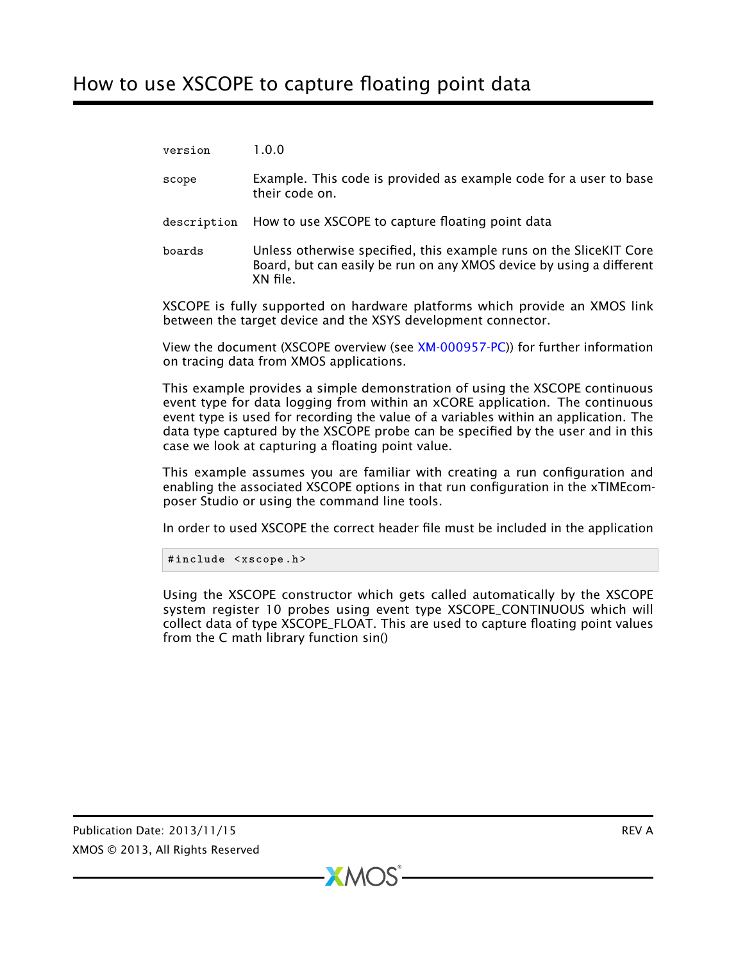## How to use XSCOPE to capture floating point data

| version | 1.0.0 |
|---------|-------|
|---------|-------|

- scope Example. This code is provided as example code for a user to base their code on.
- description How to use XSCOPE to capture floating point data
- boards Unless otherwise specified, this example runs on the SliceKIT Core Board, but can easily be run on any XMOS device by using a different XN file.

XSCOPE is fully supported on hardware platforms which provide an XMOS link between the target device and the XSYS development connector.

View the document (XSCOPE overview (see [XM-000957-PC\)](http://www.xmos.com/doc/XM-000957-PC/latest/page31#trace-data-with-xscope)) for further information on tracing data from XMOS applications.

This example provides a simple demonstration of using the XSCOPE continuous event type for data logging from within an xCORE application. The continuous event type is used for recording the value of a variables within an application. The data type captured by the XSCOPE probe can be specified by the user and in this case we look at capturing a floating point value.

This example assumes you are familiar with creating a run configuration and enabling the associated XSCOPE options in that run configuration in the xTIMEcomposer Studio or using the command line tools.

In order to used XSCOPE the correct header file must be included in the application

#include <xscope.h>

Using the XSCOPE constructor which gets called automatically by the XSCOPE system register 10 probes using event type XSCOPE\_CONTINUOUS which will collect data of type XSCOPE\_FLOAT. This are used to capture floating point values from the C math library function sin()

 $X$ M $(S)$